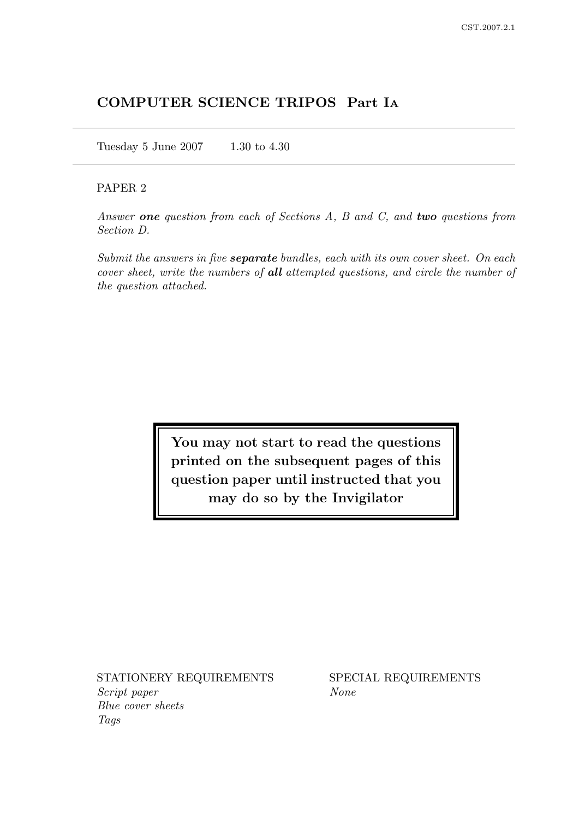# COMPUTER SCIENCE TRIPOS Part I<sup>A</sup>

Tuesday 5 June 2007 1.30 to 4.30

## PAPER 2

Answer one question from each of Sections A, B and C, and two questions from Section D.

Submit the answers in five **separate** bundles, each with its own cover sheet. On each cover sheet, write the numbers of all attempted questions, and circle the number of the question attached.

> You may not start to read the questions printed on the subsequent pages of this question paper until instructed that you may do so by the Invigilator

STATIONERY REQUIREMENTS SPECIAL REQUIREMENTS Script paper None Blue cover sheets Tags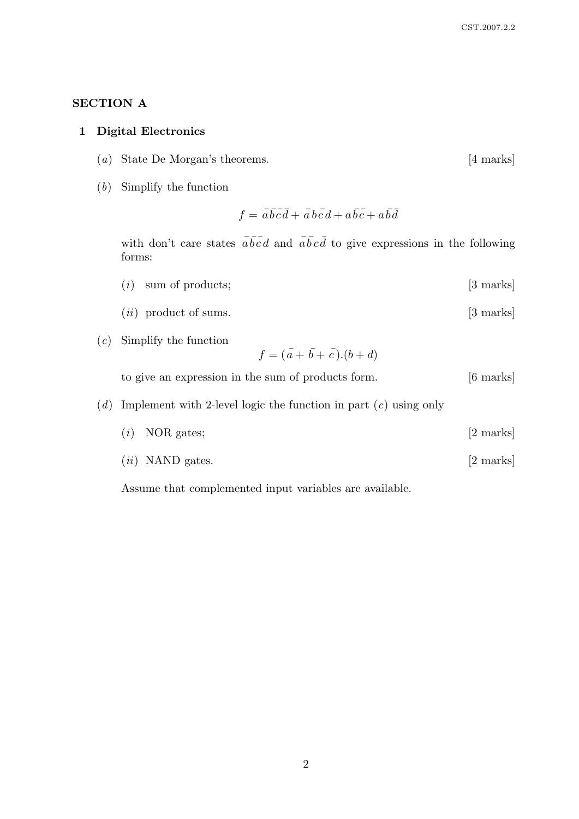# SECTION A

### 1 Digital Electronics

- (a) State De Morgan's theorems. [4 marks]
- (b) Simplify the function

$$
f = \overline{a}\overline{b}\overline{c}\overline{d} + \overline{a}\overline{b}\overline{c}\overline{d} + a\overline{b}\overline{c} + a\overline{b}\overline{d}
$$

with don't care states  $\overline{a}\overline{b}\overline{c}\overline{d}$  and  $\overline{a}\overline{b}\overline{c}\overline{d}$  to give expressions in the following forms:

- $(i)$  sum of products;  $[3 \text{ marks}]$
- $(ii)$  product of sums.  $[3 \text{ marks}]$
- (c) Simplify the function

$$
f = (\bar{a} + \bar{b} + \bar{c}).(b + d)
$$

to give an expression in the sum of products form. [6 marks]

### (d) Implement with 2-level logic the function in part  $(c)$  using only

- $(i)$  NOR gates;  $[2 \text{ marks}]$
- $(ii)$  NAND gates. [2 marks]

Assume that complemented input variables are available.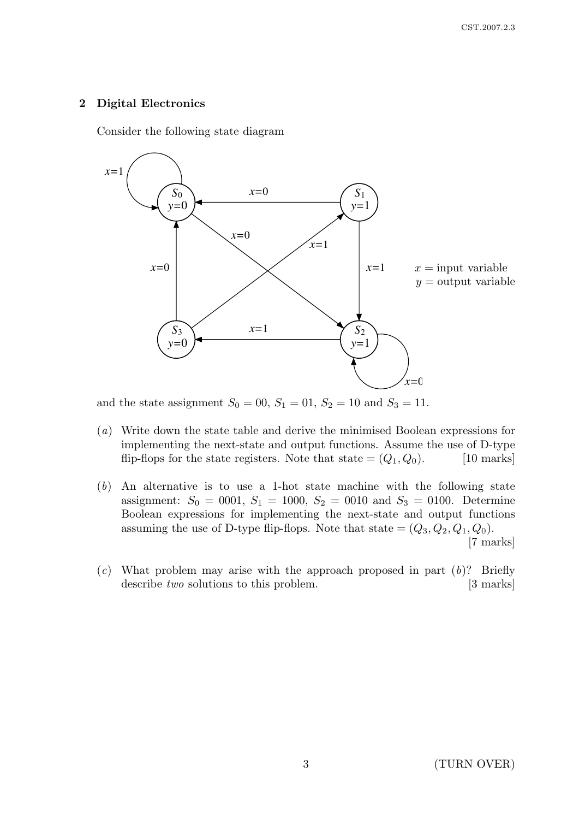### 2 Digital Electronics

Consider the following state diagram



and the state assignment  $S_0 = 00$ ,  $S_1 = 01$ ,  $S_2 = 10$  and  $S_3 = 11$ .

- (a) Write down the state table and derive the minimised Boolean expressions for implementing the next-state and output functions. Assume the use of D-type flip-flops for the state registers. Note that state  $=(Q_1, Q_0)$ . [10 marks]
- (b) An alternative is to use a 1-hot state machine with the following state assignment:  $S_0 = 0001$ ,  $S_1 = 1000$ ,  $S_2 = 0010$  and  $S_3 = 0100$ . Determine Boolean expressions for implementing the next-state and output functions assuming the use of D-type flip-flops. Note that state  $=(Q_3, Q_2, Q_1, Q_0)$ . [7 marks]
- (c) What problem may arise with the approach proposed in part  $(b)$ ? Briefly describe two solutions to this problem. [3 marks]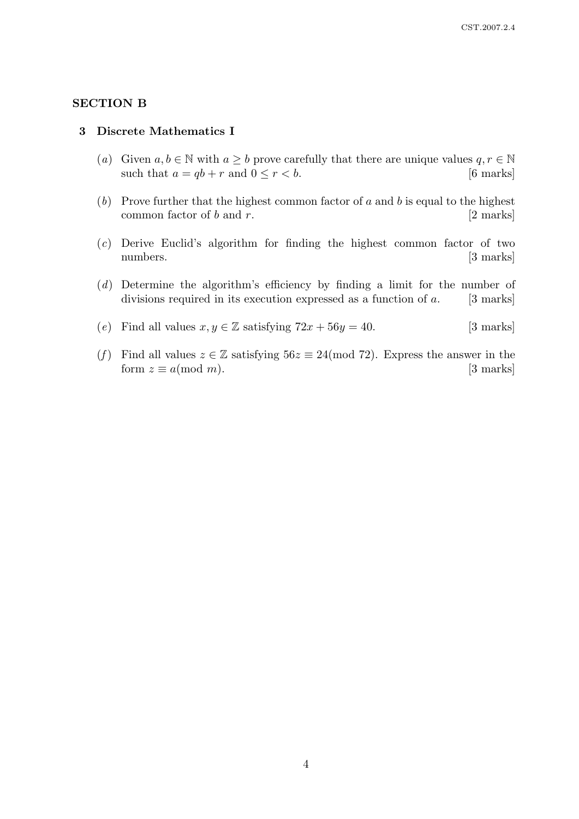### SECTION B

#### 3 Discrete Mathematics I

- (a) Given  $a, b \in \mathbb{N}$  with  $a \geq b$  prove carefully that there are unique values  $q, r \in \mathbb{N}$ such that  $a = qb + r$  and  $0 \le r < b$ . [6 marks]
- (b) Prove further that the highest common factor of a and b is equal to the highest common factor of b and r.  $[2 \text{ marks}]$
- (c) Derive Euclid's algorithm for finding the highest common factor of two numbers. [3 marks]
- (d) Determine the algorithm's efficiency by finding a limit for the number of divisions required in its execution expressed as a function of  $a$ . [3 marks]
- (e) Find all values  $x, y \in \mathbb{Z}$  satisfying  $72x + 56y = 40$ . [3 marks]
- (f) Find all values  $z \in \mathbb{Z}$  satisfying  $56z \equiv 24 \pmod{72}$ . Express the answer in the form  $z \equiv a \pmod{m}$ . [3 marks]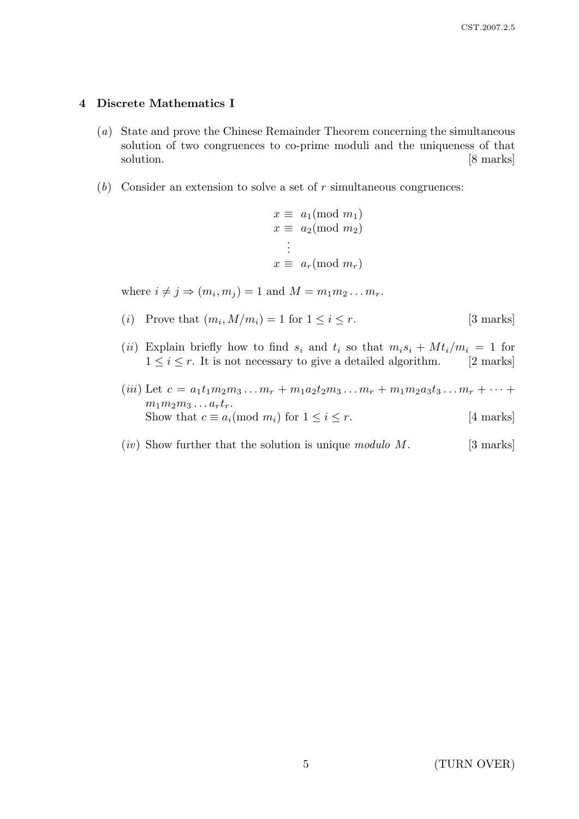### 4 Discrete Mathematics I

- (a) State and prove the Chinese Remainder Theorem concerning the simultaneous solution of two congruences to co-prime moduli and the uniqueness of that solution. [8 marks]
- $(b)$  Consider an extension to solve a set of r simultaneous congruences:

$$
x \equiv a_1 \pmod{m_1}
$$
  
\n
$$
x \equiv a_2 \pmod{m_2}
$$
  
\n
$$
\vdots
$$
  
\n
$$
x \equiv a_r \pmod{m_r}
$$

where  $i \neq j \Rightarrow (m_i, m_j) = 1$  and  $M = m_1 m_2 \dots m_r$ .

- (*i*) Prove that  $(m_i, M/m_i) = 1$  for  $1 \le i \le r$ . [3 marks]
- (ii) Explain briefly how to find  $s_i$  and  $t_i$  so that  $m_i s_i + M t_i/m_i = 1$  for  $1 \leq i \leq r$ . It is not necessary to give a detailed algorithm. [2 marks]
- (iii) Let  $c = a_1t_1m_2m_3\ldots m_r + m_1a_2t_2m_3\ldots m_r + m_1m_2a_3t_3\ldots m_r + \cdots$  $m_1m_2m_3\ldots a_rt_r.$ Show that  $c \equiv a_i \pmod{m_i}$  for  $1 \leq i \leq r$ . [4 marks]
- $(iv)$  Show further that the solution is unique modulo M. [3 marks]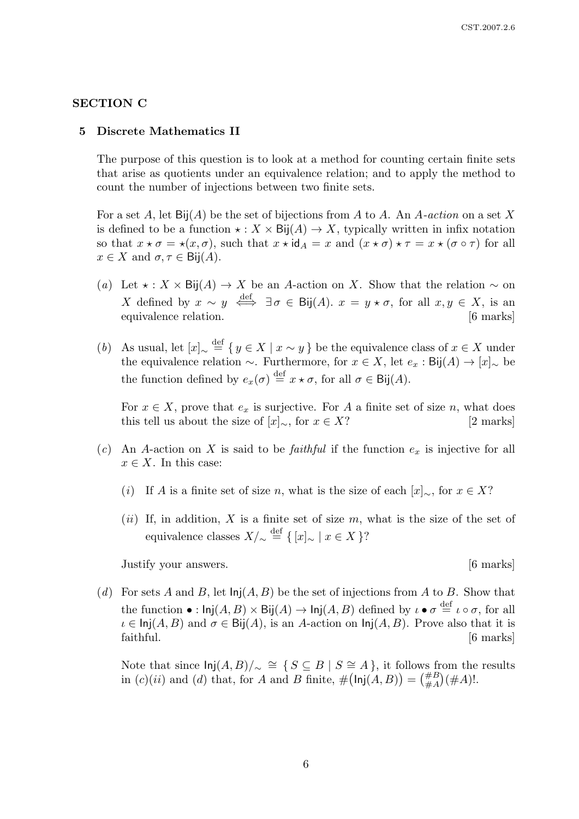#### SECTION C

## 5 Discrete Mathematics II

The purpose of this question is to look at a method for counting certain finite sets that arise as quotients under an equivalence relation; and to apply the method to count the number of injections between two finite sets.

For a set A, let  $\text{Bij}(A)$  be the set of bijections from A to A. An A-action on a set X is defined to be a function  $\star : X \times \text{Bij}(A) \to X$ , typically written in infix notation so that  $x \star \sigma = \star(x, \sigma)$ , such that  $x \star id_A = x$  and  $(x \star \sigma) \star \tau = x \star (\sigma \circ \tau)$  for all  $x \in X$  and  $\sigma, \tau \in \text{Bij}(A)$ .

- (a) Let  $\star : X \times \text{Bij}(A) \rightarrow X$  be an A-action on X. Show that the relation  $\sim$  on X defined by  $x \sim y \stackrel{\text{def}}{\iff} \exists \sigma \in \text{Bij}(A)$ .  $x = y \star \sigma$ , for all  $x, y \in X$ , is an equivalence relation.  $\blacksquare$  [6 marks]
- (b) As usual, let  $[x]_{\sim} \stackrel{\text{def}}{=} \{ y \in X \mid x \sim y \}$  be the equivalence class of  $x \in X$  under the equivalence relation  $\sim$ . Furthermore, for  $x \in X$ , let  $e_x : Bij(A) \to [x]_{\sim}$  be the function defined by  $e_x(\sigma) \stackrel{\text{def}}{=} x \star \sigma$ , for all  $\sigma \in \text{Bij}(A)$ .

For  $x \in X$ , prove that  $e_x$  is surjective. For A a finite set of size n, what does this tell us about the size of  $[x]_{\sim}$ , for  $x \in X$ ? [2 marks]

- (c) An A-action on X is said to be *faithful* if the function  $e_x$  is injective for all  $x \in X$ . In this case:
	- (i) If A is a finite set of size n, what is the size of each  $[x]_∞$ , for  $x ∈ X$ ?
	- (ii) If, in addition, X is a finite set of size  $m$ , what is the size of the set of equivalence classes  $X/\sim \frac{\text{def}}{2} \{ [x]_{\sim} \mid x \in X \}$ ?

Justify your answers. [6 marks]

(d) For sets A and B, let  $\text{Inj}(A, B)$  be the set of injections from A to B. Show that the function  $\bullet:$   $\mathsf{Inj}(A, B) \times \mathsf{Bij}(A) \to \mathsf{Inj}(A, B)$  defined by  $\iota \bullet \sigma \stackrel{\text{def}}{=} \iota \circ \sigma$ , for all  $\iota \in \mathsf{Inj}(A, B)$  and  $\sigma \in \mathsf{Bij}(A)$ , is an A-action on  $\mathsf{Inj}(A, B)$ . Prove also that it is faithful. [6 marks]

Note that since  $\text{Inj}(A, B)/_{\sim} \cong \{ S \subseteq B \mid S \cong A \}$ , it follows from the results in  $(c)(ii)$  and  $(d)$  that, for A and B finite,  $\#(\mathsf{Inj}(A,B)) = (\#B)(\#A)!$ .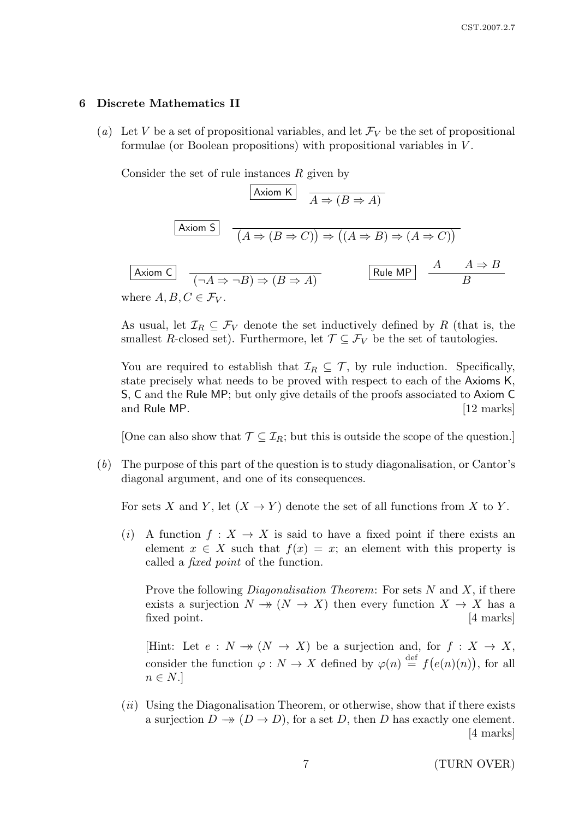#### 6 Discrete Mathematics II

(a) Let V be a set of propositional variables, and let  $\mathcal{F}_V$  be the set of propositional formulae (or Boolean propositions) with propositional variables in V .

Consider the set of rule instances R given by

| Axiom K                             | $A \Rightarrow (B \Rightarrow A)$                                                                 |         |               |
|-------------------------------------|---------------------------------------------------------------------------------------------------|---------|---------------|
| Axiom S                             | $(A \Rightarrow (B \Rightarrow C)) \Rightarrow ((A \Rightarrow B) \Rightarrow (A \Rightarrow C))$ |         |               |
| Axiom C                             | $(\neg A \Rightarrow \neg B) \Rightarrow (B \Rightarrow A)$                                       | Rule MP | $\frac{A}{B}$ |
| where $A, B, C \in \mathcal{F}_V$ . |                                                                                                   |         |               |

As usual, let  $\mathcal{I}_R \subset \mathcal{F}_V$  denote the set inductively defined by R (that is, the smallest R-closed set). Furthermore, let  $\mathcal{T} \subseteq \mathcal{F}_V$  be the set of tautologies.

You are required to establish that  $\mathcal{I}_R \subseteq \mathcal{T}$ , by rule induction. Specifically, state precisely what needs to be proved with respect to each of the Axioms K, S, C and the Rule MP; but only give details of the proofs associated to Axiom C and Rule MP. [12 marks]

[One can also show that  $\mathcal{T} \subseteq \mathcal{I}_R$ ; but this is outside the scope of the question.]

(b) The purpose of this part of the question is to study diagonalisation, or Cantor's diagonal argument, and one of its consequences.

For sets X and Y, let  $(X \to Y)$  denote the set of all functions from X to Y.

(i) A function  $f: X \to X$  is said to have a fixed point if there exists an element  $x \in X$  such that  $f(x) = x$ ; an element with this property is called a fixed point of the function.

Prove the following *Diagonalisation Theorem*: For sets  $N$  and  $X$ , if there exists a surjection  $N \to (N \to X)$  then every function  $X \to X$  has a fixed point. [4 marks]

[Hint: Let  $e: N \to (N \to X)$  be a surjection and, for  $f: X \to X$ , consider the function  $\varphi: N \to X$  defined by  $\varphi(n) \stackrel{\text{def}}{=} f(e(n)(n))$ , for all  $n \in N$ .

 $(ii)$  Using the Diagonalisation Theorem, or otherwise, show that if there exists a surjection  $D \to (D \to D)$ , for a set D, then D has exactly one element. [4 marks]

7 (TURN OVER)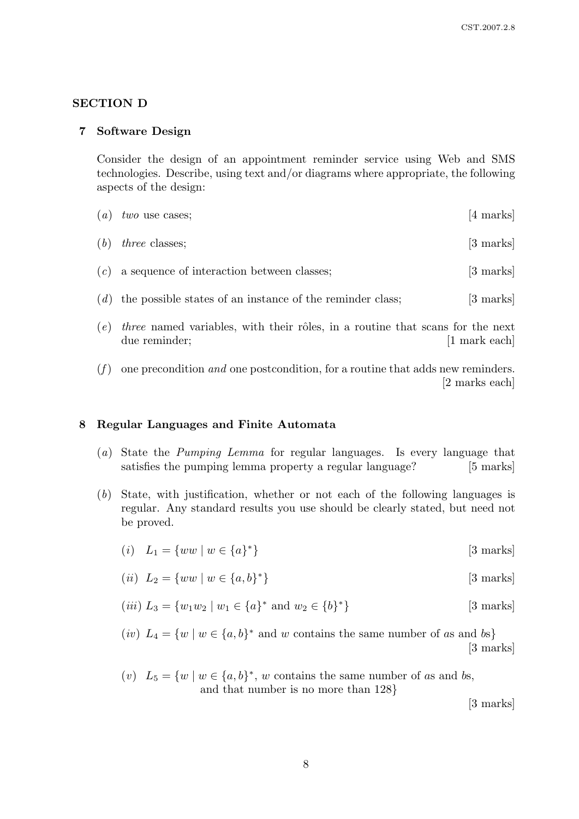### SECTION D

### 7 Software Design

Consider the design of an appointment reminder service using Web and SMS technologies. Describe, using text and/or diagrams where appropriate, the following aspects of the design:

| (a) | two use cases;                                            | [4 marks]           |
|-----|-----------------------------------------------------------|---------------------|
| (b) | <i>three</i> classes;                                     | [3 marks]           |
|     | $(c)$ a sequence of interaction between classes;          | $[3 \text{ marks}]$ |
| (d) | the possible states of an instance of the reminder class; | $[3 \text{ marks}]$ |
|     |                                                           |                     |

- $(e)$  three named variables, with their rôles, in a routine that scans for the next due reminder; [1 mark each]
- $(f)$  one precondition and one postcondition, for a routine that adds new reminders. [2 marks each]

### 8 Regular Languages and Finite Automata

- (a) State the Pumping Lemma for regular languages. Is every language that satisfies the pumping lemma property a regular language? [5 marks]
- (b) State, with justification, whether or not each of the following languages is regular. Any standard results you use should be clearly stated, but need not be proved.

$$
(i) \quad L_1 = \{ww \mid w \in \{a\}^*\}\tag{3 marks}
$$

$$
(ii) \quad L_2 = \{ww \mid w \in \{a, b\}^*\}\tag{3 marks}
$$

(*iii*) 
$$
L_3 = \{w_1 w_2 \mid w_1 \in \{a\}^* \text{ and } w_2 \in \{b\}^*\}
$$
 [3 marks]

- (*iv*)  $L_4 = \{w \mid w \in \{a, b\}^* \text{ and } w \text{ contains the same number of as and } b\text{s}\}\$ [3 marks]
- (v)  $L_5 = \{w \mid w \in \{a, b\}^*, w \text{ contains the same number of as and } b\text{s},\}$ and that number is no more than 128}

[3 marks]